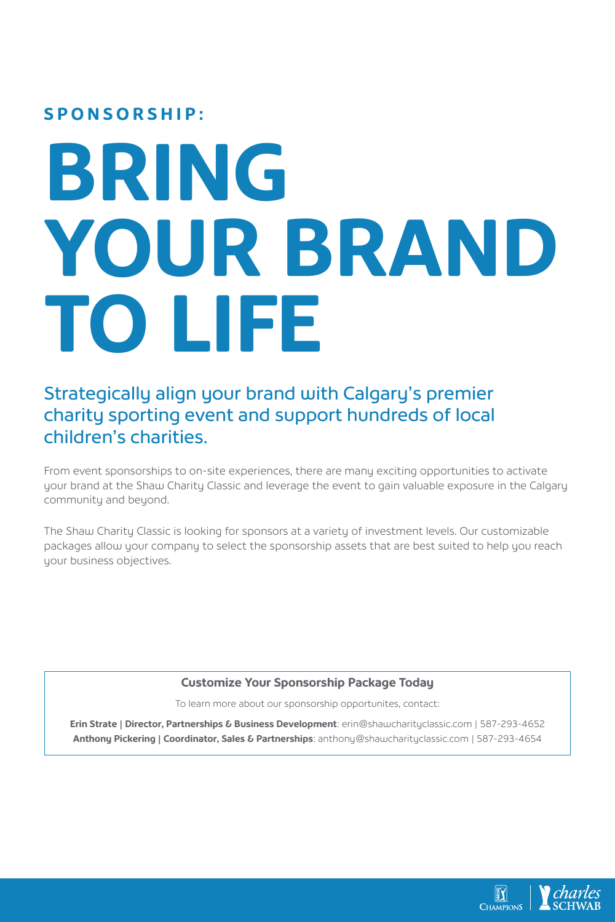## **SPONSORSHIP:**

## **BRING YOUR BRAND TO LIFE**

## Strategically align your brand with Calgary's premier charity sporting event and support hundreds of local children's charities.

From event sponsorships to on-site experiences, there are many exciting opportunities to activate your brand at the Shaw Charity Classic and leverage the event to gain valuable exposure in the Calgary community and beyond.

The Shaw Charity Classic is looking for sponsors at a variety of investment levels. Our customizable packages allow your company to select the sponsorship assets that are best suited to help you reach your business objectives.

## **Customize Your Sponsorship Package Today**

To learn more about our sponsorship opportunites, contact:

**Erin Strate | Director, Partnerships & Business Development**: erin@shawcharityclassic.com | 587-293-4652 **Anthony Pickering | Coordinator, Sales & Partnerships**: anthony@shawcharityclassic.com | 587-293-4654

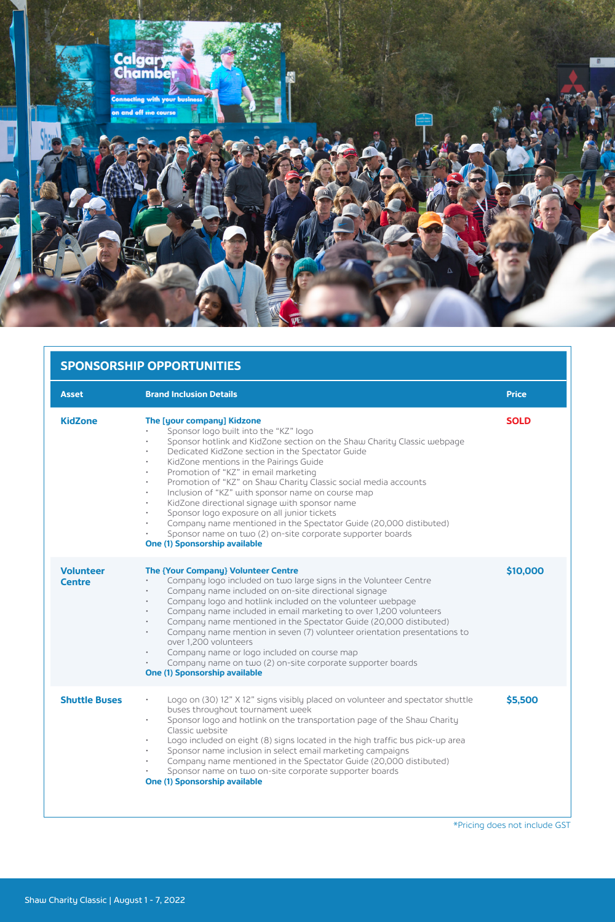

| <b>SPONSORSHIP OPPORTUNITIES</b>  |                                                                                                                                                                                                                                                                                                                                                                                                                                                                                                                                                                                                                                                                                                                         |              |
|-----------------------------------|-------------------------------------------------------------------------------------------------------------------------------------------------------------------------------------------------------------------------------------------------------------------------------------------------------------------------------------------------------------------------------------------------------------------------------------------------------------------------------------------------------------------------------------------------------------------------------------------------------------------------------------------------------------------------------------------------------------------------|--------------|
| <b>Asset</b>                      | <b>Brand Inclusion Details</b>                                                                                                                                                                                                                                                                                                                                                                                                                                                                                                                                                                                                                                                                                          | <b>Price</b> |
| <b>KidZone</b>                    | The [your company] Kidzone<br>Sponsor logo built into the "KZ" logo<br>Sponsor hotlink and KidZone section on the Shaw Charity Classic webpage<br>Dedicated KidZone section in the Spectator Guide<br>KidZone mentions in the Pairings Guide<br>Promotion of "KZ" in email marketing<br>$\bullet$<br>Promotion of "KZ" on Shaw Charity Classic social media accounts<br>Inclusion of "KZ" with sponsor name on course map<br>KidZone directional signage with sponsor name<br>$\bullet$<br>Sponsor logo exposure on all junior tickets<br>Company name mentioned in the Spectator Guide (20,000 distibuted)<br>$\bullet$<br>Sponsor name on two (2) on-site corporate supporter boards<br>One (1) Sponsorship available | <b>SOLD</b>  |
| <b>Volunteer</b><br><b>Centre</b> | <b>The {Your Company} Volunteer Centre</b><br>Company logo included on two large signs in the Volunteer Centre<br>Company name included on on-site directional signage<br>٠<br>Company logo and hotlink included on the volunteer webpage<br>$\bullet$<br>Company name included in email marketing to over 1,200 volunteers<br>$\bullet$<br>Company name mentioned in the Spectator Guide (20,000 distibuted)<br>$\bullet$<br>Company name mention in seven (7) volunteer orientation presentations to<br>over 1.200 volunteers<br>Company name or logo included on course map<br>$\bullet$<br>Company name on two (2) on-site corporate supporter boards<br>$\bullet$<br>One (1) Sponsorship available                 | \$10,000     |
| <b>Shuttle Buses</b>              | Logo on (30) 12" X 12" signs visibly placed on volunteer and spectator shuttle<br>$\bullet$<br>buses throughout tournament week<br>Sponsor logo and hotlink on the transportation page of the Shaw Charity<br>Classic website<br>Logo included on eight (8) signs located in the high traffic bus pick-up area<br>Sponsor name inclusion in select email marketing campaigns<br>Company name mentioned in the Spectator Guide (20,000 distibuted)<br>Sponsor name on two on-site corporate supporter boards<br>One (1) Sponsorship available                                                                                                                                                                            | \$5,500      |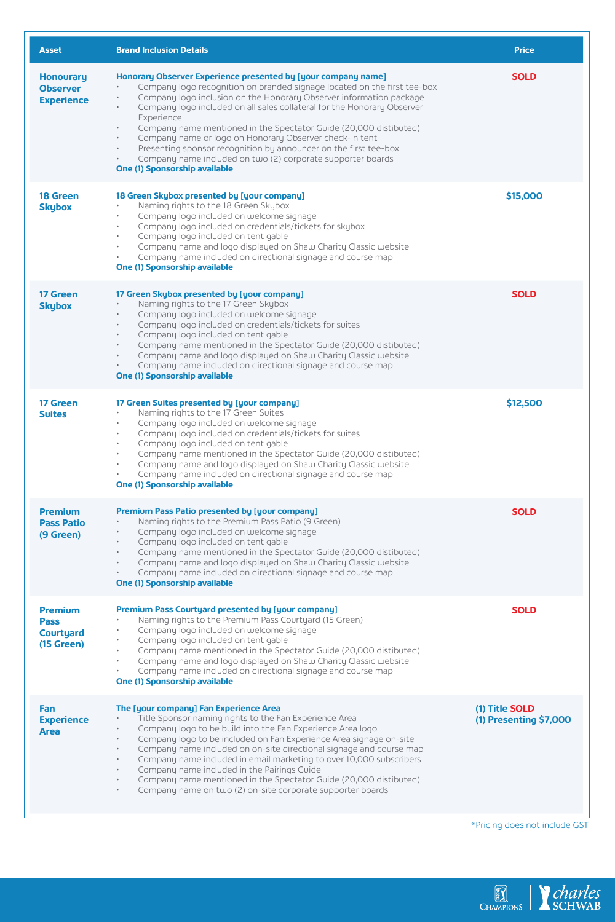| <b>Asset</b>                                                    | <b>Brand Inclusion Details</b>                                                                                                                                                                                                                                                                                                                                                                                                                                                                                                                                                                                                                                           | <b>Price</b>                             |
|-----------------------------------------------------------------|--------------------------------------------------------------------------------------------------------------------------------------------------------------------------------------------------------------------------------------------------------------------------------------------------------------------------------------------------------------------------------------------------------------------------------------------------------------------------------------------------------------------------------------------------------------------------------------------------------------------------------------------------------------------------|------------------------------------------|
| <b>Honourary</b><br><b>Observer</b><br><b>Experience</b>        | Honorary Observer Experience presented by [your company name]<br>Company logo recognition on branded signage located on the first tee-box<br>Company logo inclusion on the Honorary Observer information package<br>Company logo included on all sales collateral for the Honorary Observer<br>Experience<br>Company name mentioned in the Spectator Guide (20,000 distibuted)<br>$\bullet$<br>Company name or logo on Honorary Observer check-in tent<br>$\bullet$<br>Presenting sponsor recognition by announcer on the first tee-box<br>$\bullet$<br>Company name included on two (2) corporate supporter boards<br>$\bullet$<br><b>One (1) Sponsorship available</b> | <b>SOLD</b>                              |
| 18 Green<br><b>Skybox</b>                                       | 18 Green Skybox presented by [your company]<br>Naming rights to the 18 Green Skybox<br>Company logo included on welcome signage<br>Company logo included on credentials/tickets for skybox<br>Company logo included on tent gable<br>$\bullet$<br>Company name and logo displayed on Shaw Charity Classic website<br>Company name included on directional signage and course map<br><b>One (1) Sponsorship available</b>                                                                                                                                                                                                                                                 | \$15,000                                 |
| 17 Green<br><b>Skybox</b>                                       | 17 Green Skybox presented by [your company]<br>Naming rights to the 17 Green Skybox<br>$\ddot{\phantom{0}}$<br>Company logo included on welcome signage<br>Company logo included on credentials/tickets for suites<br>$\bullet$<br>Company logo included on tent gable<br>$\bullet$<br>Company name mentioned in the Spectator Guide (20,000 distibuted)<br>$\bullet$<br>Company name and logo displayed on Shaw Charity Classic website<br>$\bullet$<br>Company name included on directional signage and course map<br><b>One (1) Sponsorship available</b>                                                                                                             | <b>SOLD</b>                              |
| 17 Green<br><b>Suites</b>                                       | 17 Green Suites presented by [your company]<br>Naming rights to the 17 Green Suites<br>Company logo included on welcome signage<br>Company logo included on credentials/tickets for suites<br>Company logo included on tent gable<br>$\ddot{\phantom{0}}$<br>Company name mentioned in the Spectator Guide (20,000 distibuted)<br>Company name and logo displayed on Shaw Charity Classic website<br>$\bullet$<br>Company name included on directional signage and course map<br><b>One (1) Sponsorship available</b>                                                                                                                                                    | \$12,500                                 |
| <b>Premium</b><br><b>Pass Patio</b><br>(9 Green)                | Premium Pass Patio presented by [your company]<br>Naming rights to the Premium Pass Patio (9 Green)<br>Company logo included on welcome signage<br>Company logo included on tent gable<br>Company name mentioned in the Spectator Guide (20,000 distibuted)<br>$\bullet$<br>Company name and logo displayed on Shaw Charity Classic website<br>Company name included on directional signage and course map<br>One (1) Sponsorship available                                                                                                                                                                                                                              | <b>SOLD</b>                              |
| <b>Premium</b><br><b>Pass</b><br><b>Courtyard</b><br>(15 Green) | <b>Premium Pass Courtyard presented by [your company]</b><br>Naming rights to the Premium Pass Courtyard (15 Green)<br>Company logo included on welcome signage<br>Company logo included on tent gable<br>Company name mentioned in the Spectator Guide (20,000 distibuted)<br>Company name and logo displayed on Shaw Charity Classic website<br>$\bullet$<br>Company name included on directional signage and course map<br><b>One (1) Sponsorship available</b>                                                                                                                                                                                                       | <b>SOLD</b>                              |
| Fan<br><b>Experience</b><br>Area                                | The [your company] Fan Experience Area<br>Title Sponsor naming rights to the Fan Experience Area<br>Company logo to be build into the Fan Experience Area logo<br>$\bullet$<br>Company logo to be included on Fan Experience Area signage on-site<br>Company name included on on-site directional signage and course map<br>$\bullet$<br>Company name included in email marketing to over 10,000 subscribers<br>Company name included in the Pairings Guide<br>Company name mentioned in the Spectator Guide (20,000 distibuted)<br>٠<br>Company name on two (2) on-site corporate supporter boards                                                                      | (1) Title SOLD<br>(1) Presenting \$7,000 |

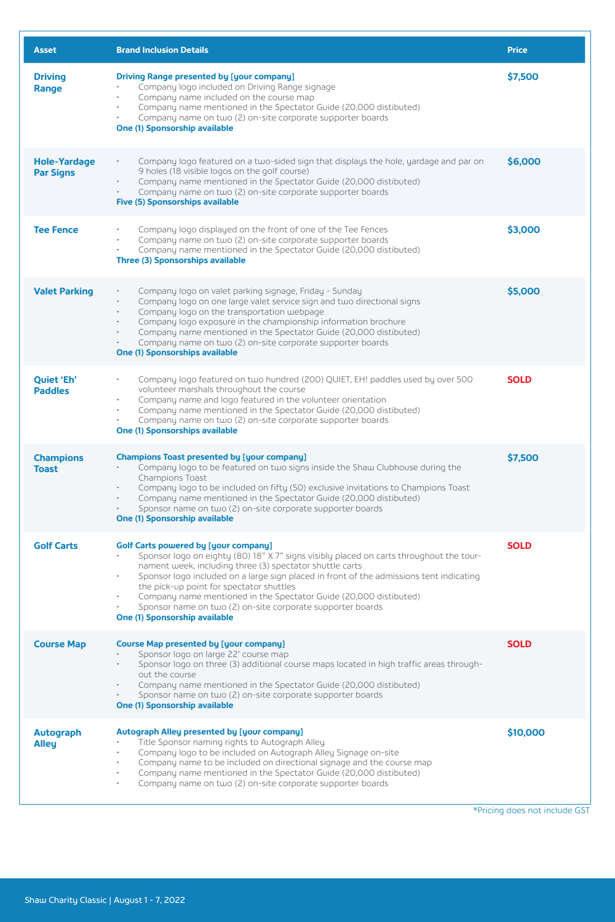| <b>Asset</b>                            | <b>Brand Inclusion Details</b>                                                                                                                                                                                                                                                                                                                                                                                                                                                                                                    | <b>Price</b> |
|-----------------------------------------|-----------------------------------------------------------------------------------------------------------------------------------------------------------------------------------------------------------------------------------------------------------------------------------------------------------------------------------------------------------------------------------------------------------------------------------------------------------------------------------------------------------------------------------|--------------|
| <b>Driving</b><br>Range                 | Driving Range presented by [your company]<br>Company logo included on Driving Range signage<br>Company name included on the course map<br>Company name mentioned in the Spectator Guide (20,000 distibuted)<br>Company name on two (2) on-site corporate supporter boards<br><b>One (1) Sponsorship available</b>                                                                                                                                                                                                                 | \$7,500      |
| <b>Hole-Yardage</b><br><b>Par Signs</b> | Company logo featured on a two-sided sign that displays the hole, yardage and par on<br>$\bullet$<br>9 holes (18 visible logos on the golf course)<br>Company name mentioned in the Spectator Guide (20,000 distibuted)<br>Company name on two (2) on-site corporate supporter boards<br><b>Five (5) Sponsorships available</b>                                                                                                                                                                                                   | \$6,000      |
| <b>Tee Fence</b>                        | Company logo displayed on the front of one of the Tee Fences<br>Company name on two (2) on-site corporate supporter boards<br>Company name mentioned in the Spectator Guide (20,000 distibuted)<br>Three (3) Sponsorships available                                                                                                                                                                                                                                                                                               | \$3,000      |
| <b>Valet Parking</b>                    | Company logo on valet parking signage, Friday - Sunday<br>Company logo on one large valet service sign and two directional signs<br>Company logo on the transportation webpage<br>$\bullet$<br>Company logo exposure in the championship information brochure<br>$\bullet$<br>Company name mentioned in the Spectator Guide (20,000 distibuted)<br>$\ddot{\phantom{0}}$<br>Company name on two (2) on-site corporate supporter boards<br><b>One (1) Sponsorships available</b>                                                    | \$5,000      |
| Quiet 'Eh'<br><b>Paddles</b>            | Company logo featured on two hundred (200) QUIET, EH! paddles used by over 500<br>volunteer marshals throughout the course<br>Company name and logo featured in the volunteer orientation<br>Company name mentioned in the Spectator Guide (20,000 distibuted)<br>Company name on two (2) on-site corporate supporter boards<br><b>One (1) Sponsorships available</b>                                                                                                                                                             | <b>SOLD</b>  |
| <b>Champions</b><br><b>Toast</b>        | Champions Toast presented by [your company]<br>Company logo to be featured on two signs inside the Shaw Clubhouse during the<br>Champions Toast<br>Company logo to be included on fifty (50) exclusive invitations to Champions Toast<br>Company name mentioned in the Spectator Guide (20,000 distibuted)<br>Sponsor name on two (2) on-site corporate supporter boards<br><b>One (1) Sponsorship available</b>                                                                                                                  | \$7,500      |
| <b>Golf Carts</b>                       | <b>Golf Carts powered by [your company]</b><br>Sponsor logo on eighty (80) 18" X 7" signs visibly placed on carts throughout the tour-<br>nament week, including three (3) spectator shuttle carts<br>Sponsor logo included on a large sign placed in front of the admissions tent indicating<br>$\bullet$<br>the pick-up point for spectator shuttles<br>Company name mentioned in the Spectator Guide (20,000 distibuted)<br>Sponsor name on two (2) on-site corporate supporter boards<br><b>One (1) Sponsorship available</b> | <b>SOLD</b>  |
| <b>Course Map</b>                       | Course Map presented by [your company]<br>Sponsor logo on large 22' course map<br>Sponsor logo on three (3) additional course maps located in high traffic areas through-<br>$\bullet$<br>out the course<br>Company name mentioned in the Spectator Guide (20,000 distibuted)<br>$\bullet$<br>Sponsor name on two (2) on-site corporate supporter boards<br>One (1) Sponsorship available                                                                                                                                         | <b>SOLD</b>  |
| <b>Autograph</b><br><b>Alley</b>        | <b>Autograph Alley presented by [your company]</b><br>Title Sponsor naming rights to Autograph Alley<br>Company logo to be included on Autograph Alley Signage on-site<br>Company name to be included on directional signage and the course map<br>Company name mentioned in the Spectator Guide (20,000 distibuted)<br>Company name on two (2) on-site corporate supporter boards                                                                                                                                                | \$10,000     |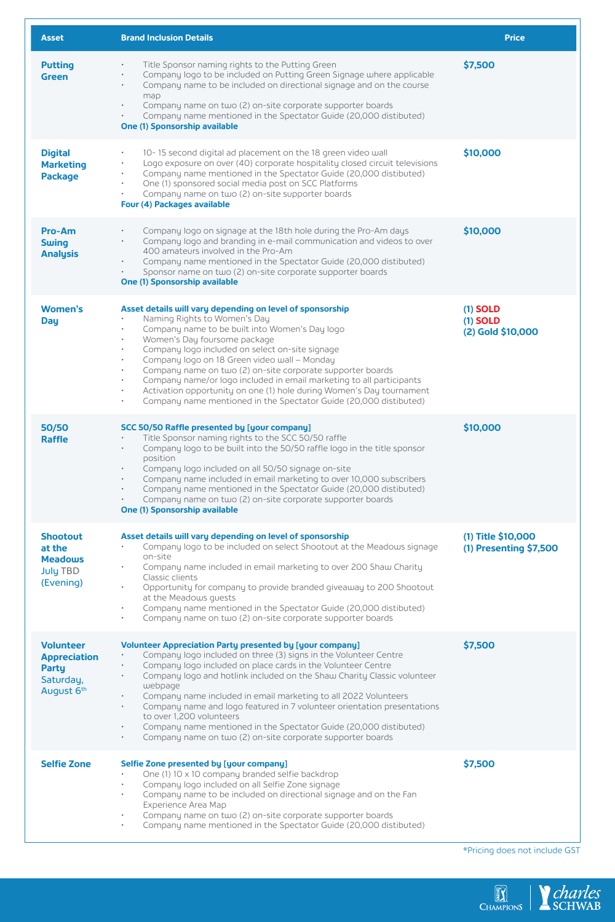| <b>Asset</b>                                                                | <b>Brand Inclusion Details</b>                                                                                                                                                                                                                                                                                                                                                                                                                                                                                                                                                                                                                          | <b>Price</b>                                  |
|-----------------------------------------------------------------------------|---------------------------------------------------------------------------------------------------------------------------------------------------------------------------------------------------------------------------------------------------------------------------------------------------------------------------------------------------------------------------------------------------------------------------------------------------------------------------------------------------------------------------------------------------------------------------------------------------------------------------------------------------------|-----------------------------------------------|
| <b>Putting</b><br><b>Green</b>                                              | Title Sponsor naming rights to the Putting Green<br>$\bullet$<br>Company logo to be included on Putting Green Signage where applicable<br>$\bullet$<br>Company name to be included on directional signage and on the course<br>$\bullet$<br>map<br>Company name on two (2) on-site corporate supporter boards<br>Company name mentioned in the Spectator Guide (20,000 distibuted)<br><b>One (1) Sponsorship available</b>                                                                                                                                                                                                                              | \$7,500                                       |
| <b>Digital</b><br><b>Marketing</b><br><b>Package</b>                        | 10-15 second digital ad placement on the 18 green video wall<br>٠<br>Logo exposure on over (40) corporate hospitality closed circuit televisions<br>Company name mentioned in the Spectator Guide (20,000 distibuted)<br>٠<br>One (1) sponsored social media post on SCC Platforms<br>Company name on two (2) on-site supporter boards<br>٠<br>Four (4) Packages available                                                                                                                                                                                                                                                                              | \$10,000                                      |
| Pro-Am<br><b>Swing</b><br><b>Analysis</b>                                   | Company logo on signage at the 18th hole during the Pro-Am days<br>$\bullet$<br>Company logo and branding in e-mail communication and videos to over<br>400 amateurs involved in the Pro-Am<br>Company name mentioned in the Spectator Guide (20,000 distibuted)<br>$\bullet$<br>Sponsor name on two (2) on-site corporate supporter boards<br>٠<br><b>One (1) Sponsorship available</b>                                                                                                                                                                                                                                                                | \$10,000                                      |
| <b>Women's</b><br><b>Day</b>                                                | Asset details will vary depending on level of sponsorship<br>Naming Rights to Women's Day<br>Company name to be built into Women's Day logo<br>Women's Day foursome package<br>Company logo included on select on-site signage<br>٠<br>Company logo on 18 Green video wall - Monday<br>$\bullet$<br>Company name on two (2) on-site corporate supporter boards<br>٠<br>Company name/or logo included in email marketing to all participants<br>$\bullet$<br>Activation opportunity on one (1) hole during Women's Day tournament<br>$\bullet$<br>Company name mentioned in the Spectator Guide (20,000 distibuted)<br>٠                                 | $(1)$ SOLD<br>$(1)$ SOLD<br>(2) Gold \$10,000 |
| 50/50<br><b>Raffle</b>                                                      | SCC 50/50 Raffle presented by [your company]<br>Title Sponsor naming rights to the SCC 50/50 raffle<br>Company logo to be built into the 50/50 raffle logo in the title sponsor<br>$\bullet$<br>position<br>Company logo included on all 50/50 signage on-site<br>Company name included in email marketing to over 10,000 subscribers<br>$\bullet$<br>Company name mentioned in the Spectator Guide (20,000 distibuted)<br>$\bullet$<br>Company name on two (2) on-site corporate supporter boards<br><b>One (1) Sponsorship available</b>                                                                                                              | \$10,000                                      |
| <b>Shootout</b><br>at the<br><b>Meadows</b><br><b>July TBD</b><br>(Evening) | Asset details will vary depending on level of sponsorship<br>Company logo to be included on select Shootout at the Meadows signage<br>on-site<br>Company name included in email marketing to over 200 Shaw Charity<br>Classic clients<br>Opportunity for company to provide branded giveaway to 200 Shootout<br>at the Meadows quests<br>Company name mentioned in the Spectator Guide (20,000 distibuted)<br>٠<br>Company name on two (2) on-site corporate supporter boards<br>٠                                                                                                                                                                      | (1) Title \$10,000<br>(1) Presenting \$7,500  |
| <b>Volunteer</b><br><b>Appreciation</b><br>Party<br>Saturday,<br>August 6th | <b>Volunteer Appreciation Party presented by [your company]</b><br>Company logo included on three (3) signs in the Volunteer Centre<br>Company logo included on place cards in the Volunteer Centre<br>٠<br>Company logo and hotlink included on the Shaw Charity Classic volunteer<br>webpage<br>Company name included in email marketing to all 2022 Volunteers<br>$\bullet$<br>Company name and logo featured in 7 volunteer orientation presentations<br>$\bullet$<br>to over 1.200 volunteers<br>Company name mentioned in the Spectator Guide (20,000 distibuted)<br>٠<br>Company name on two (2) on-site corporate supporter boards<br>$\bullet$ | \$7.500                                       |
| <b>Selfie Zone</b>                                                          | Selfie Zone presented by [your company]<br>One (1) 10 x 10 company branded selfie backdrop<br>$\bullet$<br>Company logo included on all Selfie Zone signage<br>$\bullet$<br>Company name to be included on directional signage and on the Fan<br>٠<br>Experience Area Map<br>Company name on two (2) on-site corporate supporter boards<br>Company name mentioned in the Spectator Guide (20,000 distibuted)                                                                                                                                                                                                                                            | \$7,500                                       |